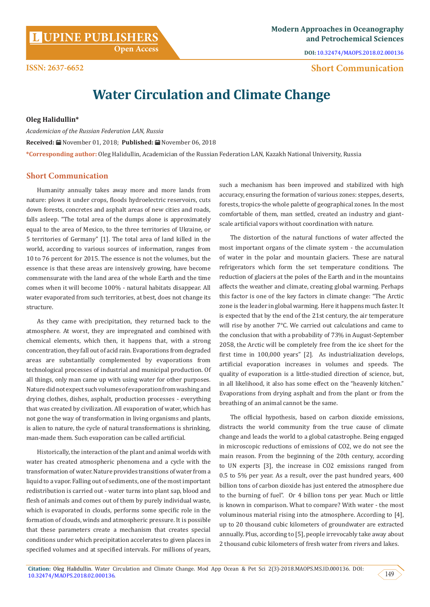# **Open Access**

### **ISSN: 2637-6652 Short Communication**

## **Water Circulation and Climate Change**

#### **Oleg Halidullin\***

*Academician of the Russian Federation LAN, Russia* **Received:** November 01, 2018; **Published:** November 06, 2018 **\*Corresponding author:** Oleg Halidullin, Academician of the Russian Federation LAN, Kazakh National University, Russia

#### **Short Communication**

Humanity annually takes away more and more lands from nature: plows it under crops, floods hydroelectric reservoirs, cuts down forests, concretes and asphalt areas of new cities and roads, falls asleep. "The total area of the dumps alone is approximately equal to the area of Mexico, to the three territories of Ukraine, or 5 territories of Germany" [1]. The total area of land killed in the world, according to various sources of information, ranges from 10 to 76 percent for 2015. The essence is not the volumes, but the essence is that these areas are intensively growing, have become commensurate with the land area of the whole Earth and the time comes when it will become 100% - natural habitats disappear. All water evaporated from such territories, at best, does not change its structure.

As they came with precipitation, they returned back to the atmosphere. At worst, they are impregnated and combined with chemical elements, which then, it happens that, with a strong concentration, they fall out of acid rain. Evaporations from degraded areas are substantially complemented by evaporations from technological processes of industrial and municipal production. Of all things, only man came up with using water for other purposes. Nature did not expect such volumes of evaporation from washing and drying clothes, dishes, asphalt, production processes - everything that was created by civilization. All evaporation of water, which has not gone the way of transformation in living organisms and plants, is alien to nature, the cycle of natural transformations is shrinking, man-made them. Such evaporation can be called artificial.

Historically, the interaction of the plant and animal worlds with water has created atmospheric phenomena and a cycle with the transformation of water. Nature provides transitions of water from a liquid to a vapor. Falling out of sediments, one of the most important redistribution is carried out - water turns into plant sap, blood and flesh of animals and comes out of them by purely individual waste, which is evaporated in clouds, performs some specific role in the formation of clouds, winds and atmospheric pressure. It is possible that these parameters create a mechanism that creates special conditions under which precipitation accelerates to given places in specified volumes and at specified intervals. For millions of years,

such a mechanism has been improved and stabilized with high accuracy, ensuring the formation of various zones: steppes, deserts, forests, tropics-the whole palette of geographical zones. In the most comfortable of them, man settled, created an industry and giantscale artificial vapors without coordination with nature.

The distortion of the natural functions of water affected the most important organs of the climate system - the accumulation of water in the polar and mountain glaciers. These are natural refrigerators which form the set temperature conditions. The reduction of glaciers at the poles of the Earth and in the mountains affects the weather and climate, creating global warming. Perhaps this factor is one of the key factors in climate change: "The Arctic zone is the leader in global warming. Here it happens much faster. It is expected that by the end of the 21st century, the air temperature will rise by another 7°C. We carried out calculations and came to the conclusion that with a probability of 73% in August-September 2058, the Arctic will be completely free from the ice sheet for the first time in 100,000 years" [2]. As industrialization develops, artificial evaporation increases in volumes and speeds. The quality of evaporation is a little-studied direction of science, but, in all likelihood, it also has some effect on the "heavenly kitchen." Evaporations from drying asphalt and from the plant or from the breathing of an animal cannot be the same.

The official hypothesis, based on carbon dioxide emissions, distracts the world community from the true cause of climate change and leads the world to a global catastrophe. Being engaged in microscopic reductions of emissions of CO2, we do not see the main reason. From the beginning of the 20th century, according to UN experts [3], the increase in CO2 emissions ranged from 0.5 to 5% per year. As a result, over the past hundred years, 400 billion tons of carbon dioxide has just entered the atmosphere due to the burning of fuel". Or 4 billion tons per year. Much or little is known in comparison. What to compare? With water - the most voluminous material rising into the atmosphere. According to [4], up to 20 thousand cubic kilometers of groundwater are extracted annually. Plus, according to [5], people irrevocably take away about 2 thousand cubic kilometers of fresh water from rivers and lakes.